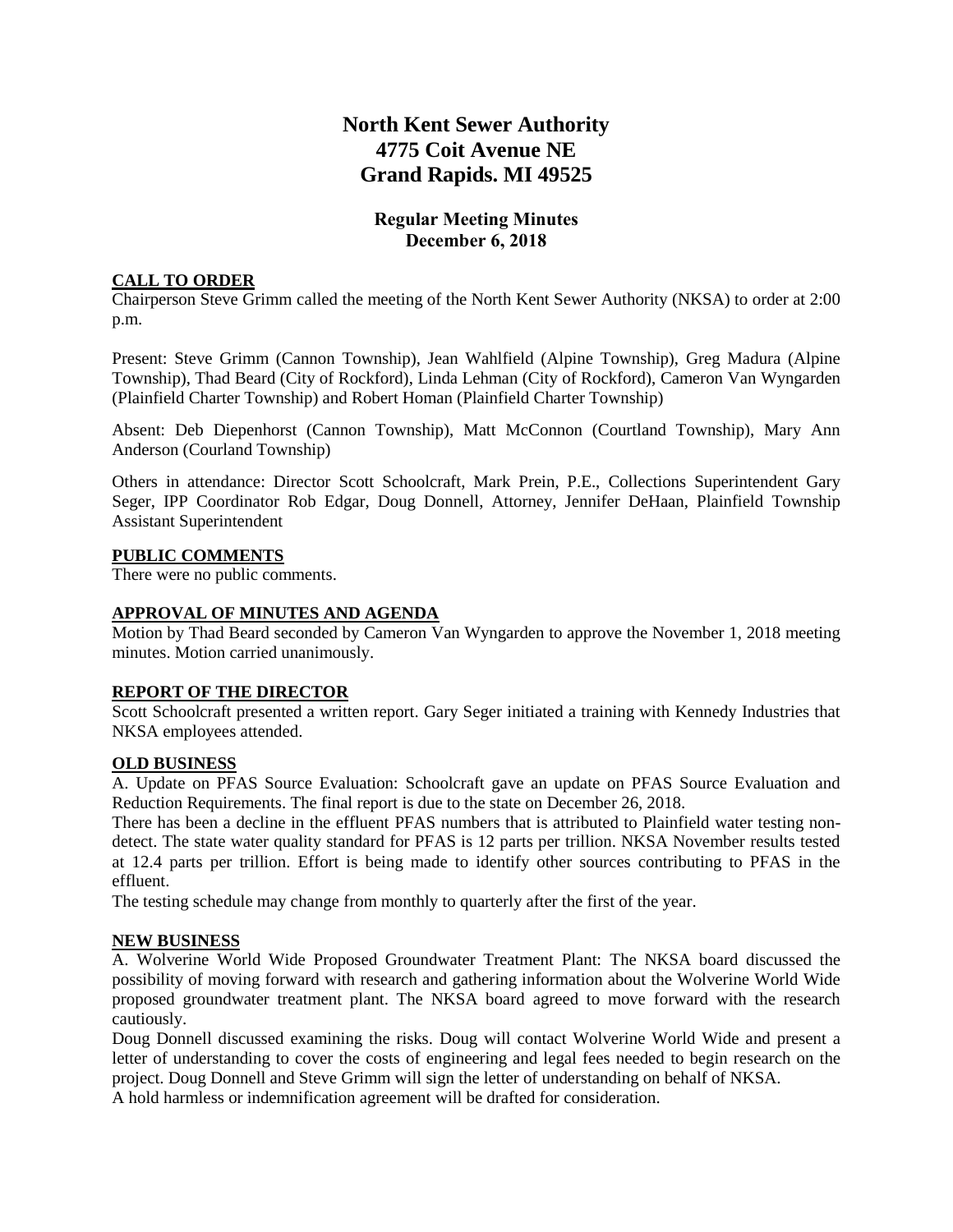# **North Kent Sewer Authority 4775 Coit Avenue NE Grand Rapids. MI 49525**

## **Regular Meeting Minutes December 6, 2018**

#### **CALL TO ORDER**

Chairperson Steve Grimm called the meeting of the North Kent Sewer Authority (NKSA) to order at 2:00 p.m.

Present: Steve Grimm (Cannon Township), Jean Wahlfield (Alpine Township), Greg Madura (Alpine Township), Thad Beard (City of Rockford), Linda Lehman (City of Rockford), Cameron Van Wyngarden (Plainfield Charter Township) and Robert Homan (Plainfield Charter Township)

Absent: Deb Diepenhorst (Cannon Township), Matt McConnon (Courtland Township), Mary Ann Anderson (Courland Township)

Others in attendance: Director Scott Schoolcraft, Mark Prein, P.E., Collections Superintendent Gary Seger, IPP Coordinator Rob Edgar, Doug Donnell, Attorney, Jennifer DeHaan, Plainfield Township Assistant Superintendent

#### **PUBLIC COMMENTS**

There were no public comments.

### **APPROVAL OF MINUTES AND AGENDA**

Motion by Thad Beard seconded by Cameron Van Wyngarden to approve the November 1, 2018 meeting minutes. Motion carried unanimously.

#### **REPORT OF THE DIRECTOR**

Scott Schoolcraft presented a written report. Gary Seger initiated a training with Kennedy Industries that NKSA employees attended.

#### **OLD BUSINESS**

A. Update on PFAS Source Evaluation: Schoolcraft gave an update on PFAS Source Evaluation and Reduction Requirements. The final report is due to the state on December 26, 2018.

There has been a decline in the effluent PFAS numbers that is attributed to Plainfield water testing nondetect. The state water quality standard for PFAS is 12 parts per trillion. NKSA November results tested at 12.4 parts per trillion. Effort is being made to identify other sources contributing to PFAS in the effluent.

The testing schedule may change from monthly to quarterly after the first of the year.

#### **NEW BUSINESS**

A. Wolverine World Wide Proposed Groundwater Treatment Plant: The NKSA board discussed the possibility of moving forward with research and gathering information about the Wolverine World Wide proposed groundwater treatment plant. The NKSA board agreed to move forward with the research cautiously.

Doug Donnell discussed examining the risks. Doug will contact Wolverine World Wide and present a letter of understanding to cover the costs of engineering and legal fees needed to begin research on the project. Doug Donnell and Steve Grimm will sign the letter of understanding on behalf of NKSA. A hold harmless or indemnification agreement will be drafted for consideration.